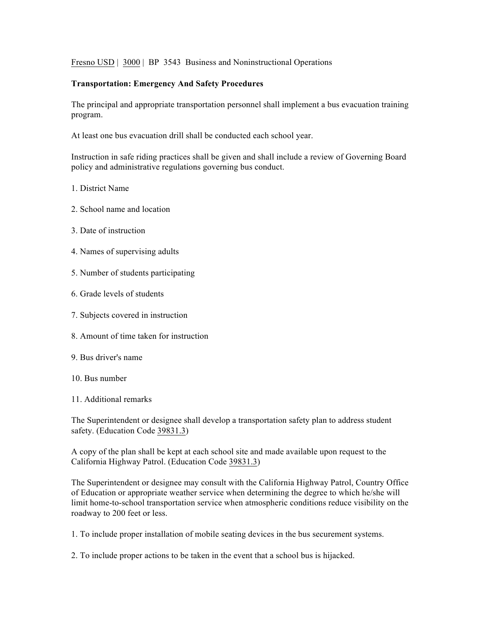Fresno USD | 3000 | BP 3543 Business and Noninstructional Operations

## **Transportation: Emergency And Safety Procedures**

The principal and appropriate transportation personnel shall implement a bus evacuation training program.

At least one bus evacuation drill shall be conducted each school year.

Instruction in safe riding practices shall be given and shall include a review of Governing Board policy and administrative regulations governing bus conduct.

- 1. District Name
- 2. School name and location
- 3. Date of instruction
- 4. Names of supervising adults
- 5. Number of students participating
- 6. Grade levels of students
- 7. Subjects covered in instruction
- 8. Amount of time taken for instruction
- 9. Bus driver's name
- 10. Bus number
- 11. Additional remarks

The Superintendent or designee shall develop a transportation safety plan to address student safety. (Education Code 39831.3)

A copy of the plan shall be kept at each school site and made available upon request to the California Highway Patrol. (Education Code 39831.3)

The Superintendent or designee may consult with the California Highway Patrol, Country Office of Education or appropriate weather service when determining the degree to which he/she will limit home-to-school transportation service when atmospheric conditions reduce visibility on the roadway to 200 feet or less.

- 1. To include proper installation of mobile seating devices in the bus securement systems.
- 2. To include proper actions to be taken in the event that a school bus is hijacked.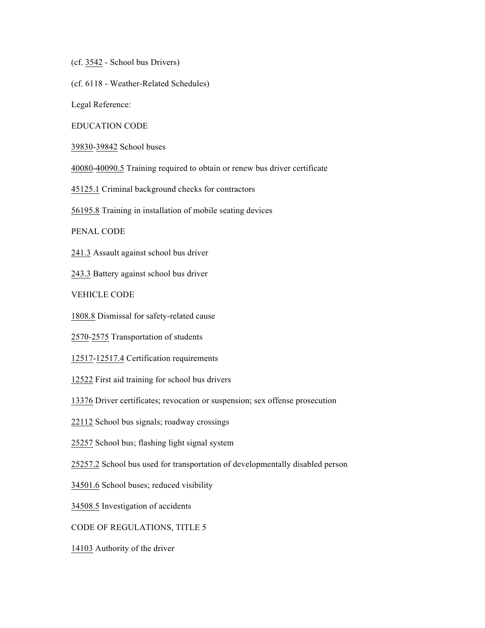(cf. 3542 - School bus Drivers)

(cf. 6118 - Weather-Related Schedules)

Legal Reference:

EDUCATION CODE

39830-39842 School buses

40080-40090.5 Training required to obtain or renew bus driver certificate

45125.1 Criminal background checks for contractors

56195.8 Training in installation of mobile seating devices

PENAL CODE

241.3 Assault against school bus driver

243.3 Battery against school bus driver

VEHICLE CODE

1808.8 Dismissal for safety-related cause

2570-2575 Transportation of students

12517-12517.4 Certification requirements

12522 First aid training for school bus drivers

13376 Driver certificates; revocation or suspension; sex offense prosecution

22112 School bus signals; roadway crossings

25257 School bus; flashing light signal system

25257.2 School bus used for transportation of developmentally disabled person

34501.6 School buses; reduced visibility

34508.5 Investigation of accidents

CODE OF REGULATIONS, TITLE 5

14103 Authority of the driver